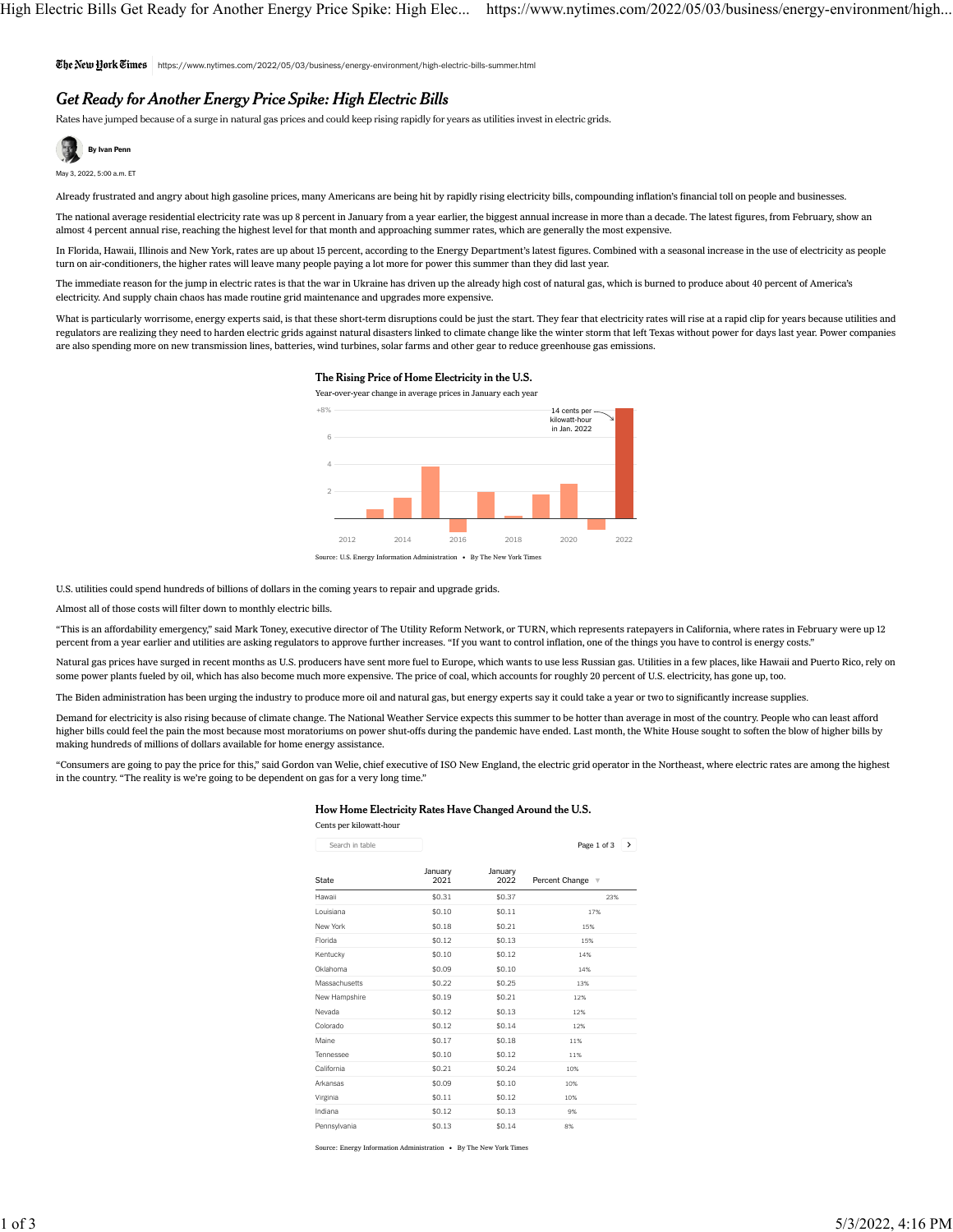https://www.nytimes.com/2022/05/03/business/energy-environment/high-electric-bills-summer.html

# Get Ready for Another Energy Price Spike: High Electric Bills

Rates have jumped because of a surge in natural gas prices and could keep rising rapidly for years as utilities invest in electric grids.



Already frustrated and angry about high gasoline prices, many Americans are being hit by rapidly rising electricity bills, compounding inflation's financial toll on people and businesses.

The national average residential electricity rate was up 8 percent in January from a year earlier, the biggest annual increase in more than a decade. The [latest figures, from February,](https://www.eia.gov/electricity/monthly/epm_table_grapher.php?t=epmt_5_6_a) show an almost 4 percent annual rise, reaching the highest level for that month and approaching summer rates, which are generally the most expensive.

In Florida, Hawaii, Illinois and New York, rates are up about 15 percent, according to the Energy Department's latest figures. Combined with a seasonal increase in the use of electricity as people turn on air-conditioners, the higher rates will leave many people paying a lot more for power this summer than they did last year.

The immediate reason for the jump in electric rates is that the war in Ukraine has [driven up the already high cost of natural gas,](https://www.nytimes.com/2022/02/22/business/energy-environment/russia-ukraine-oil-gas.html) which is burned to produce about 40 percent of America's electricity. And supply chain chaos has made routine grid maintenance and upgrades more expensive.

What is particularly worrisome, energy experts said, is that these short-term disruptions could be just the start. They fear that electricity rates will rise at a rapid clip for years because utilities and regulators are realizing they [need to harden electric grids against natural disasters](https://www.nytimes.com/2021/07/29/climate/electric-utilities-climate-change.html?action=click&module=RelatedLinks&pgtype=Article) linked to climate change like the winter storm that left Texas without power for days last year. Power companies are also spending more on new transmission lines, batteries, wind turbines, solar farms and other gear to reduce greenhouse gas emissions.

# The Rising Price of Home Electricity in the U.S.

Year-over-year change in average prices in January each year



U.S. utilities could spend hundreds of billions of dollars in the coming years to [repair and upgrade grids.](https://www.nytimes.com/2021/10/28/business/energy-environment/electric-grid-overload-solar-ev.html)

Almost all of those costs will filter down to monthly electric bills.

"This is an affordability emergency," said Mark Toney, executive director of The Utility Reform Network, or TURN, which represents ratepayers in California, where rates in February were up 12 percent from a year earlier and utilities are asking regulators to approve further increases. "If you want to control inflation, one of the things you have to control is energy costs."

[Natural gas prices](https://www.nytimes.com/2021/10/01/business/natural-gas-prices.html) have surged in recent months as U.S. producers have sent more fuel to Europe, which wants to use less Russian gas. Utilities in a few places, like Hawaii and Puerto Rico, rely on some power plants fueled by oil, which has also become much more expensive. The price of coal, which accounts for roughly 20 percent of U.S. electricity, has gone up, too.

The Biden administration has been urging the industry to produce more oil and natural gas, but energy experts say [it could take a year or two to significantly increase supplies.](https://www.nytimes.com/2022/04/26/business/energy-environment/oil-us-europe-russia.html)

Demand for electricity is also rising [because of climate change.](https://www.nytimes.com/2018/05/15/climate/air-conditioning.html) The National Weather Service expects this summer to be [hotter than average](https://www.cpc.ncep.noaa.gov/products/predictions/long_range/seasonal.php?lead=3) in most of the country. People who can least afford higher bills could feel the pain the most because most moratoriums on power shut-offs during the pandemic have ended. Last month, the White House sought to soften the blow of higher bills by making hundreds of millions of dollars available for home energy assistance.

"Consumers are going to pay the price for this," said Gordon van Welie, chief executive of ISO New England, the electric grid operator in the Northeast, where electric rates are among the highest in the country. "The reality is we're going to be dependent on gas for a very long time."

# How Home Electricity Rates Have Changed Around the U.S.

| Cents per kilowatt-hour         |                 | January<br>2022 | Page 1 of 3<br>$\rightarrow$<br>Percent Change v |
|---------------------------------|-----------------|-----------------|--------------------------------------------------|
| Search in table<br><b>State</b> |                 |                 |                                                  |
|                                 | January<br>2021 |                 |                                                  |
| Hawaii                          | \$0.31          | \$0.37          | 23%                                              |
| Louisiana                       | \$0.10          | \$0.11          | 17%                                              |
| New York                        | \$0.18          | \$0.21          | 15%                                              |
| Florida                         | \$0.12          | \$0.13          | 15%                                              |
| Kentucky                        | \$0.10          | \$0.12          | 14%                                              |
| Oklahoma                        | \$0.09          | \$0.10          | 14%                                              |
| Massachusetts                   | \$0.22          | \$0.25          | 13%                                              |
| New Hampshire                   | \$0.19          | \$0.21          | 12%                                              |
| Nevada                          | \$0.12          | \$0.13          | 12%                                              |
| Colorado                        | \$0.12          | \$0.14          | 12%                                              |
| Maine                           | \$0.17          | \$0.18          | 11%                                              |
| Tennessee                       | \$0.10          | \$0.12          | 11%                                              |
| California                      | \$0.21          | \$0.24          | 10%                                              |
| Arkansas                        | \$0.09          | \$0.10          | 10%                                              |
| Virginia                        | \$0.11          | \$0.12          | 10%                                              |
| Indiana                         | \$0.12          | \$0.13          | 9%                                               |
| Pennsylvania                    | \$0.13          | \$0.14          | 8%                                               |

Source: Energy Information Administration • By The New York Times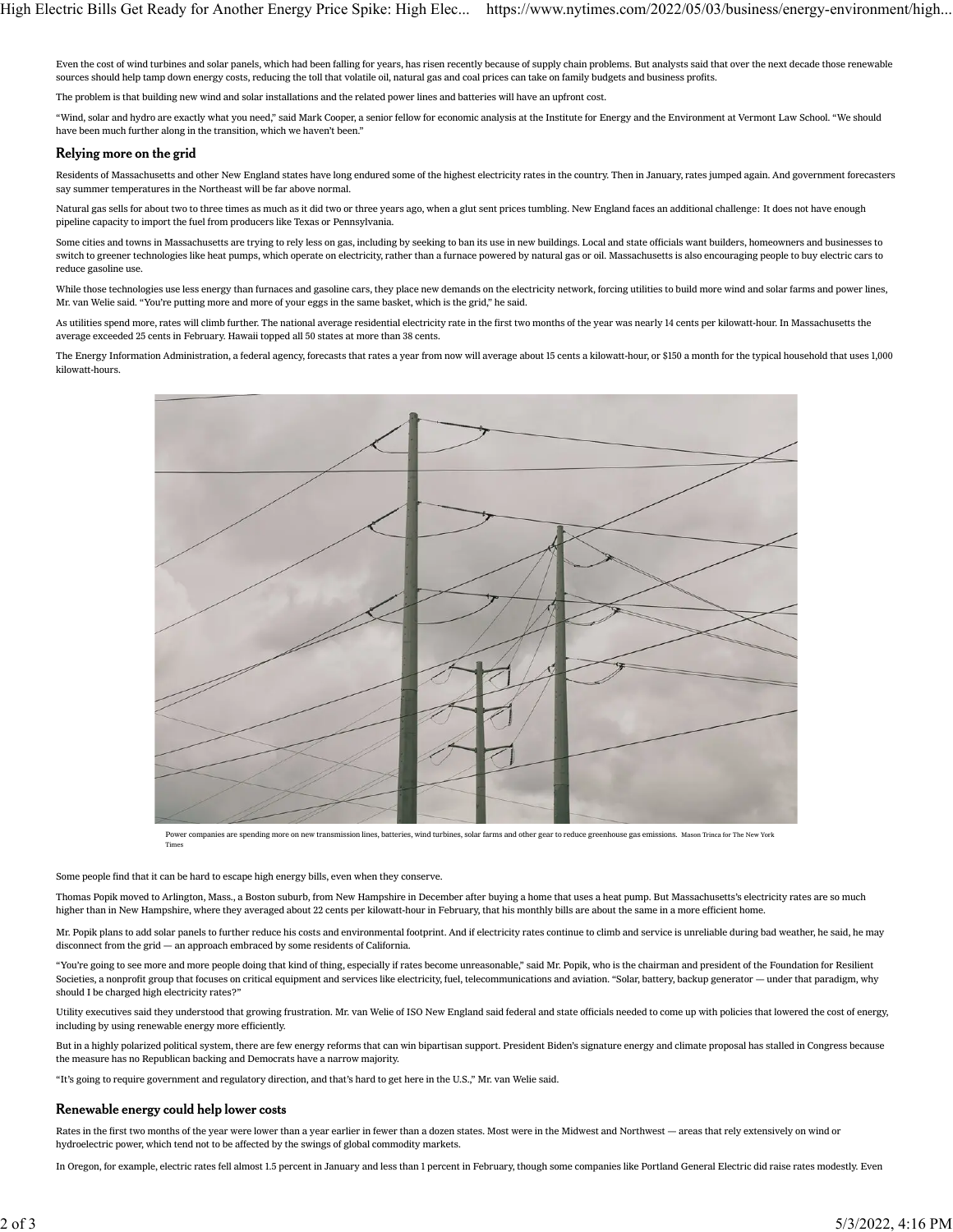Even the cost of wind turbines and solar panels, which had been falling for years, has risen recently because of supply chain problems. But analysts said that over the next decade those renewable sources should help tamp down energy costs, reducing the toll that volatile oil, natural gas and coal prices can take on family budgets and business profits.

The problem is that building new wind and solar installations and the related power lines and batteries will have an upfront cost.

"Wind, solar and hydro are exactly what you need," said Mark Cooper, a senior fellow for economic analysis at the Institute for Energy and the Environment at Vermont Law School. "We should have been much further along in the transition, which we haven't been."

### Relying more on the grid

Residents of Massachusetts and other New England states have long endured some of the highest electricity rates in the country. Then in January, rates jumped again. And government forecasters say summer temperatures in the Northeast will be far above normal.

Natural gas sells for about two to three times as much as it did two or three years ago, when [a glut sent prices tumbling.](https://www.nytimes.com/2020/03/31/business/energy-environment/pennsylvania-shale-gas-fracking.html) New England faces an additional challenge: It does not have enough pipeline capacity to import the fuel from producers like Texas or Pennsylvania.

Some cities and towns in Massachusetts are trying to rely less on gas, including by seeking to ban its use in new buildings. Local and state officials want builders, homeowners and businesses to switch to greener technologies like [heat pumps,](https://www.nytimes.com/2021/06/30/climate/heat-pumps-climate.html) which operate on electricity, rather than a furnace powered by natural gas or oil. Massachusetts is also encouraging people to buy electric cars to reduce gasoline use.

While those technologies use less energy than furnaces and gasoline cars, they place new demands on the electricity network, forcing utilities to build more wind and solar farms and power lines, Mr. van Welie said. "You're putting more and more of your eggs in the same basket, which is the grid," he said.

As utilities spend more, rates will climb further. The national average residential electricity rate in the first two months of the year was nearly 14 cents per kilowatt-hour. In Massachusetts the average exceeded 25 cents in February. Hawaii topped all 50 states at more than 38 cents.

The Energy Information Administration, a federal agency, forecasts that rates a year from now will average about 15 cents a kilowatt-hour, or \$150 a month for the typical household that uses 1,000 kilowatt-hours.



Power companies are spending more on new transmission lines, batteries, wind turbines, solar farms and other gear to reduce greenhouse gas emissions. Mason Trinca for The New York

#### Some people find that it can be hard to escape high energy bills, even when they conserve.

Thomas Popik moved to Arlington, Mass., a Boston suburb, from New Hampshire in December after buying a home that uses a heat pump. But Massachusetts's electricity rates are so much higher than in New Hampshire, where they averaged about 22 cents per kilowatt-hour in February, that his monthly bills are about the same in a more efficient home.

Mr. Popik plans to add solar panels to further reduce his costs and environmental footprint. And if electricity rates continue to climb and service is unreliable during bad weather, he said, he may disconnect from the grid — an approach [embraced by some residents of California.](https://www.nytimes.com/2022/03/13/business/energy-environment/california-off-grid.html)

"You're going to see more and more people doing that kind of thing, especially if rates become unreasonable," said Mr. Popik, who is the chairman and president of the [Foundation for Resilient](https://www.resilientsocieties.org/) [Societies,](https://www.resilientsocieties.org/) a nonprofit group that focuses on critical equipment and services like electricity, fuel, telecommunications and aviation. "Solar, battery, backup generator — under that paradigm, why should I be charged high electricity rates?"

Utility executives said they understood that growing frustration. Mr. van Welie of ISO New England said federal and state officials needed to come up with policies that lowered the cost of energy, including by using renewable energy more efficiently.

But in a highly polarized political system, there are few energy reforms that can win bipartisan support. President Biden's signature energy and climate proposal has stalled in Congress because the measure has no Republican backing and Democrats have a narrow majority.

"It's going to require government and regulatory direction, and that's hard to get here in the U.S.," Mr. van Welie said.

### Renewable energy could help lower costs

Times

Rates in the first two months of the year were lower than a year earlier in fewer than a dozen states. Most were in the Midwest and Northwest — areas that rely extensively on wind or hydroelectric power, which tend not to be affected by the swings of global commodity markets.

In Oregon, for example, electric rates fell almost 1.5 percent in January and less than 1 percent in February, though some companies like Portland General Electric did raise rates modestly. Even